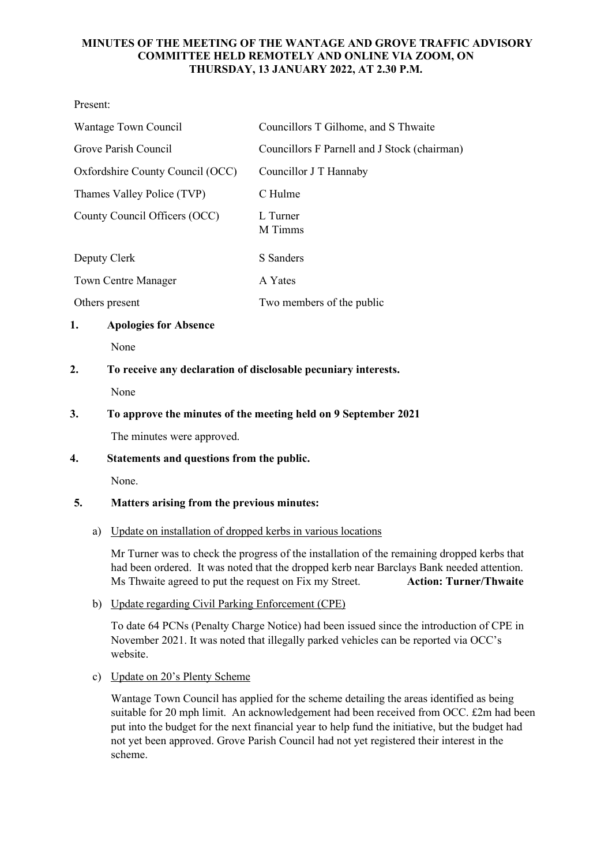## **MINUTES OF THE MEETING OF THE WANTAGE AND GROVE TRAFFIC ADVISORY COMMITTEE HELD REMOTELY AND ONLINE VIA ZOOM, ON THURSDAY, 13 JANUARY 2022, AT 2.30 P.M.**

Present:

| Wantage Town Council             | Councillors T Gilhome, and S Thwaite         |
|----------------------------------|----------------------------------------------|
| Grove Parish Council             | Councillors F Parnell and J Stock (chairman) |
| Oxfordshire County Council (OCC) | Councillor J T Hannaby                       |
| Thames Valley Police (TVP)       | C Hulme                                      |
| County Council Officers (OCC)    | L Turner<br>M Timms                          |
| Deputy Clerk                     | S Sanders                                    |
| <b>Town Centre Manager</b>       | A Yates                                      |
| Others present                   | Two members of the public                    |

## **1. Apologies for Absence**

None

# **2. To receive any declaration of disclosable pecuniary interests.**

None

# **3. To approve the minutes of the meeting held on 9 September 2021**

The minutes were approved.

# **4. Statements and questions from the public.**

None.

# **5. Matters arising from the previous minutes:**

# a) Update on installation of dropped kerbs in various locations

Mr Turner was to check the progress of the installation of the remaining dropped kerbs that had been ordered. It was noted that the dropped kerb near Barclays Bank needed attention. Ms Thwaite agreed to put the request on Fix my Street. **Action: Turner/Thwaite**

# b) Update regarding Civil Parking Enforcement (CPE)

To date 64 PCNs (Penalty Charge Notice) had been issued since the introduction of CPE in November 2021. It was noted that illegally parked vehicles can be reported via OCC's website.

c) Update on 20's Plenty Scheme

Wantage Town Council has applied for the scheme detailing the areas identified as being suitable for 20 mph limit. An acknowledgement had been received from OCC. £2m had been put into the budget for the next financial year to help fund the initiative, but the budget had not yet been approved. Grove Parish Council had not yet registered their interest in the scheme.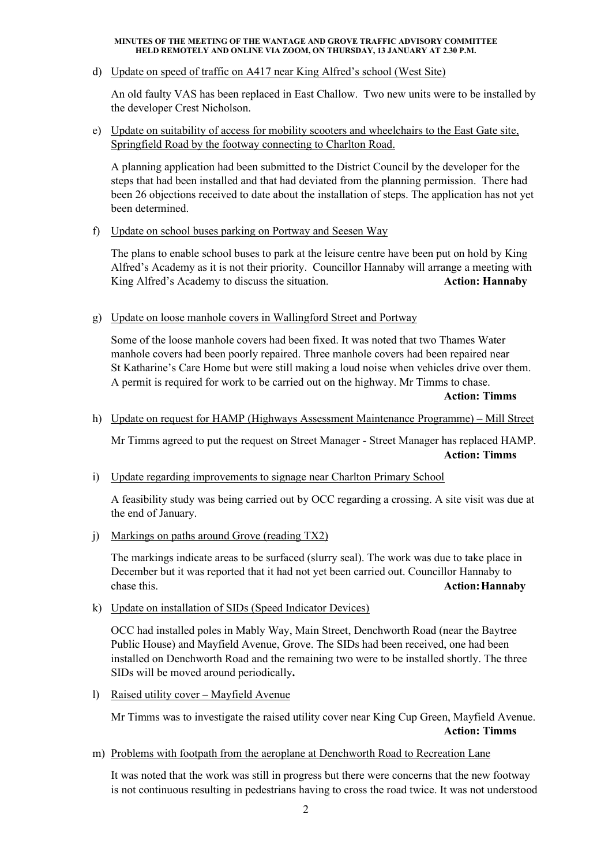#### **MINUTES OF THE MEETING OF THE WANTAGE AND GROVE TRAFFIC ADVISORY COMMITTEE HELD REMOTELY AND ONLINE VIA ZOOM, ON THURSDAY, 13 JANUARY AT 2.30 P.M.**

d) Update on speed of traffic on A417 near King Alfred's school (West Site)

An old faulty VAS has been replaced in East Challow. Two new units were to be installed by the developer Crest Nicholson.

e) Update on suitability of access for mobility scooters and wheelchairs to the East Gate site, Springfield Road by the footway connecting to Charlton Road.

A planning application had been submitted to the District Council by the developer for the steps that had been installed and that had deviated from the planning permission. There had been 26 objections received to date about the installation of steps. The application has not yet been determined.

f) Update on school buses parking on Portway and Seesen Way

The plans to enable school buses to park at the leisure centre have been put on hold by King Alfred's Academy as it is not their priority. Councillor Hannaby will arrange a meeting with King Alfred's Academy to discuss the situation. **Action: Hannaby Action: Hannaby** 

g) Update on loose manhole covers in Wallingford Street and Portway

Some of the loose manhole covers had been fixed. It was noted that two Thames Water manhole covers had been poorly repaired. Three manhole covers had been repaired near St Katharine's Care Home but were still making a loud noise when vehicles drive over them. A permit is required for work to be carried out on the highway. Mr Timms to chase.

**Action: Timms**

h) Update on request for HAMP (Highways Assessment Maintenance Programme) – Mill Street

Mr Timms agreed to put the request on Street Manager - Street Manager has replaced HAMP. **Action: Timms**

i) Update regarding improvements to signage near Charlton Primary School

A feasibility study was being carried out by OCC regarding a crossing. A site visit was due at the end of January.

j) Markings on paths around Grove (reading TX2)

The markings indicate areas to be surfaced (slurry seal). The work was due to take place in December but it was reported that it had not yet been carried out. Councillor Hannaby to chase this. **Action:Hannaby**

k) Update on installation of SIDs (Speed Indicator Devices)

OCC had installed poles in Mably Way, Main Street, Denchworth Road (near the Baytree Public House) and Mayfield Avenue, Grove. The SIDs had been received, one had been installed on Denchworth Road and the remaining two were to be installed shortly. The three SIDs will be moved around periodically**.**

l) Raised utility cover – Mayfield Avenue

Mr Timms was to investigate the raised utility cover near King Cup Green, Mayfield Avenue. **Action: Timms**

m) Problems with footpath from the aeroplane at Denchworth Road to Recreation Lane

It was noted that the work was still in progress but there were concerns that the new footway is not continuous resulting in pedestrians having to cross the road twice. It was not understood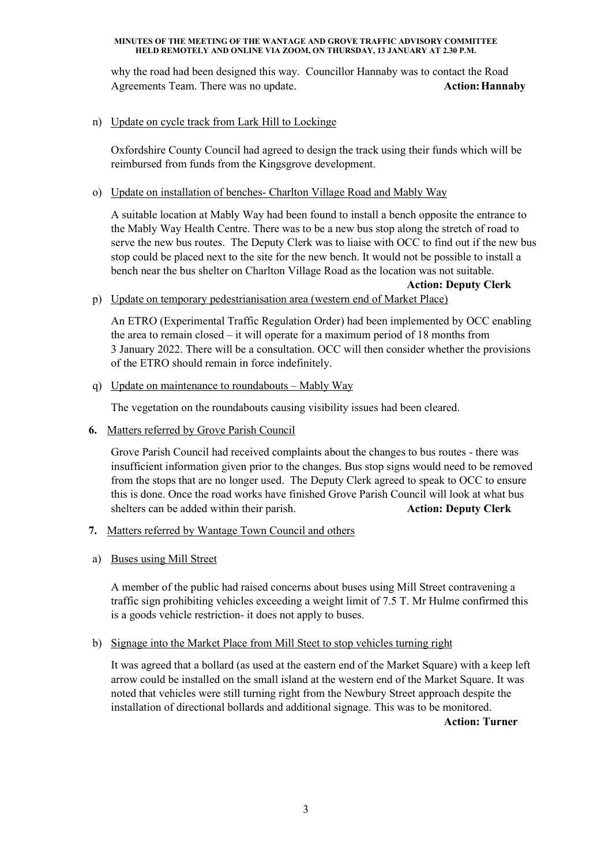#### **MINUTES OF THE MEETING OF THE WANTAGE AND GROVE TRAFFIC ADVISORY COMMITTEE HELD REMOTELY AND ONLINE VIA ZOOM, ON THURSDAY, 13 JANUARY AT 2.30 P.M.**

why the road had been designed this way. Councillor Hannaby was to contact the Road Agreements Team. There was no update. **Action: Hannaby Action: Hannaby** 

### n) Update on cycle track from Lark Hill to Lockinge

Oxfordshire County Council had agreed to design the track using their funds which will be reimbursed from funds from the Kingsgrove development.

## o) Update on installation of benches- Charlton Village Road and Mably Way

A suitable location at Mably Way had been found to install a bench opposite the entrance to the Mably Way Health Centre. There was to be a new bus stop along the stretch of road to serve the new bus routes. The Deputy Clerk was to liaise with OCC to find out if the new bus stop could be placed next to the site for the new bench. It would not be possible to install a bench near the bus shelter on Charlton Village Road as the location was not suitable.

**Action: Deputy Clerk**  p) Update on temporary pedestrianisation area (western end of Market Place)

An ETRO (Experimental Traffic Regulation Order) had been implemented by OCC enabling the area to remain closed – it will operate for a maximum period of 18 months from 3 January 2022. There will be a consultation. OCC will then consider whether the provisions of the ETRO should remain in force indefinitely.

q) Update on maintenance to roundabouts – Mably Way

The vegetation on the roundabouts causing visibility issues had been cleared.

**6.** Matters referred by Grove Parish Council

Grove Parish Council had received complaints about the changes to bus routes - there was insufficient information given prior to the changes. Bus stop signs would need to be removed from the stops that are no longer used. The Deputy Clerk agreed to speak to OCC to ensure this is done. Once the road works have finished Grove Parish Council will look at what bus shelters can be added within their parish. **Action: Deputy Clerk**  $\blacksquare$ 

- **7.** Matters referred by Wantage Town Council and others
- a) Buses using Mill Street

A member of the public had raised concerns about buses using Mill Street contravening a traffic sign prohibiting vehicles exceeding a weight limit of 7.5 T. Mr Hulme confirmed this is a goods vehicle restriction- it does not apply to buses.

b) Signage into the Market Place from Mill Steet to stop vehicles turning right

It was agreed that a bollard (as used at the eastern end of the Market Square) with a keep left arrow could be installed on the small island at the western end of the Market Square. It was noted that vehicles were still turning right from the Newbury Street approach despite the installation of directional bollards and additional signage. This was to be monitored.

**Action: Turner**